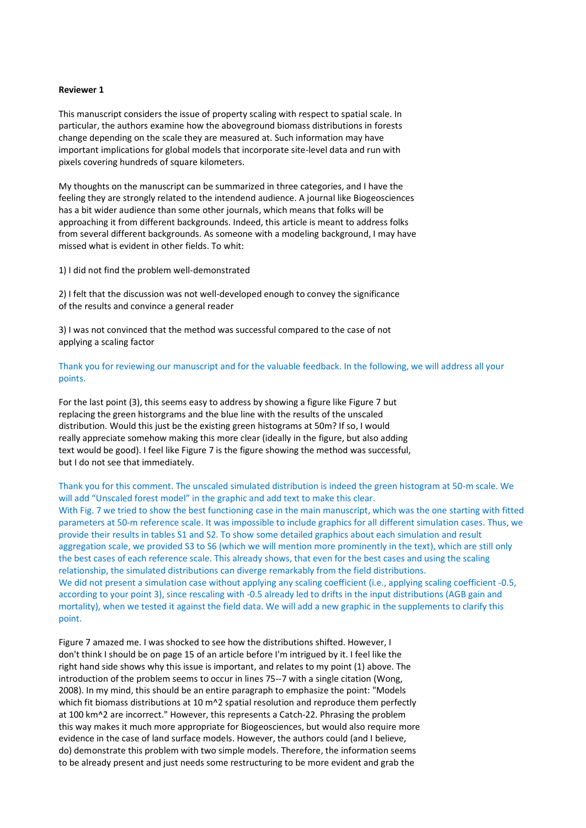## **Reviewer 1**

This manuscript considers the issue of property scaling with respect to spatial scale. In particular, the authors examine how the aboveground biomass distributions in forests change depending on the scale they are measured at. Such information may have important implications for global models that incorporate site-level data and run with pixels covering hundreds of square kilometers.

My thoughts on the manuscript can be summarized in three categories, and I have the feeling they are strongly related to the intendend audience. A journal like Biogeosciences has a bit wider audience than some other journals, which means that folks will be approaching it from different backgrounds. Indeed, this article is meant to address folks from several different backgrounds. As someone with a modeling background, I may have missed what is evident in other fields. To whit:

1) I did not find the problem well-demonstrated

2) I felt that the discussion was not well-developed enough to convey the significance of the results and convince a general reader

3) I was not convinced that the method was successful compared to the case of not applying a scaling factor

Thank you for reviewing our manuscript and for the valuable feedback. In the following, we will address all your points.

For the last point (3), this seems easy to address by showing a figure like Figure 7 but replacing the green historgrams and the blue line with the results of the unscaled distribution. Would this just be the existing green histograms at 50m? If so, I would really appreciate somehow making this more clear (ideally in the figure, but also adding text would be good). I feel like Figure 7 is the figure showing the method was successful, but I do not see that immediately.

Thank you for this comment. The unscaled simulated distribution is indeed the green histogram at 50-m scale. We will add "Unscaled forest model" in the graphic and add text to make this clear. With Fig. 7 we tried to show the best functioning case in the main manuscript, which was the one starting with fitted parameters at 50-m reference scale. It was impossible to include graphics for all different simulation cases. Thus, we provide their results in tables S1 and S2. To show some detailed graphics about each simulation and result aggregation scale, we provided S3 to S6 (which we will mention more prominently in the text), which are still only the best cases of each reference scale. This already shows, that even for the best cases and using the scaling relationship, the simulated distributions can diverge remarkably from the field distributions. We did not present a simulation case without applying any scaling coefficient (i.e., applying scaling coefficient -0.5, according to your point 3), since rescaling with -0.5 already led to drifts in the input distributions (AGB gain and mortality), when we tested it against the field data. We will add a new graphic in the supplements to clarify this point.

Figure 7 amazed me. I was shocked to see how the distributions shifted. However, I don't think I should be on page 15 of an article before I'm intrigued by it. I feel like the right hand side shows why this issue is important, and relates to my point (1) above. The introduction of the problem seems to occur in lines 75--7 with a single citation (Wong, 2008). In my mind, this should be an entire paragraph to emphasize the point: "Models which fit biomass distributions at 10 m^2 spatial resolution and reproduce them perfectly at 100 km^2 are incorrect." However, this represents a Catch-22. Phrasing the problem this way makes it much more appropriate for Biogeosciences, but would also require more evidence in the case of land surface models. However, the authors could (and I believe, do) demonstrate this problem with two simple models. Therefore, the information seems to be already present and just needs some restructuring to be more evident and grab the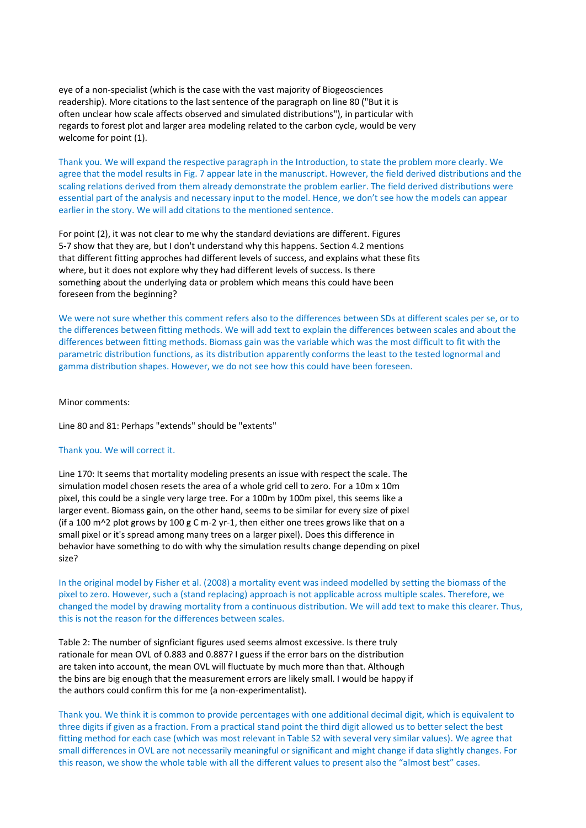eye of a non-specialist (which is the case with the vast majority of Biogeosciences readership). More citations to the last sentence of the paragraph on line 80 ("But it is often unclear how scale affects observed and simulated distributions"), in particular with regards to forest plot and larger area modeling related to the carbon cycle, would be very welcome for point (1).

Thank you. We will expand the respective paragraph in the Introduction, to state the problem more clearly. We agree that the model results in Fig. 7 appear late in the manuscript. However, the field derived distributions and the scaling relations derived from them already demonstrate the problem earlier. The field derived distributions were essential part of the analysis and necessary input to the model. Hence, we don't see how the models can appear earlier in the story. We will add citations to the mentioned sentence.

For point (2), it was not clear to me why the standard deviations are different. Figures 5-7 show that they are, but I don't understand why this happens. Section 4.2 mentions that different fitting approches had different levels of success, and explains what these fits where, but it does not explore why they had different levels of success. Is there something about the underlying data or problem which means this could have been foreseen from the beginning?

We were not sure whether this comment refers also to the differences between SDs at different scales per se, or to the differences between fitting methods. We will add text to explain the differences between scales and about the differences between fitting methods. Biomass gain was the variable which was the most difficult to fit with the parametric distribution functions, as its distribution apparently conforms the least to the tested lognormal and gamma distribution shapes. However, we do not see how this could have been foreseen.

## Minor comments:

Line 80 and 81: Perhaps "extends" should be "extents"

## Thank you. We will correct it.

Line 170: It seems that mortality modeling presents an issue with respect the scale. The simulation model chosen resets the area of a whole grid cell to zero. For a 10m x 10m pixel, this could be a single very large tree. For a 100m by 100m pixel, this seems like a larger event. Biomass gain, on the other hand, seems to be similar for every size of pixel (if a 100 m<sup> $\lambda$ </sup>2 plot grows by 100 g C m-2 yr-1, then either one trees grows like that on a small pixel or it's spread among many trees on a larger pixel). Does this difference in behavior have something to do with why the simulation results change depending on pixel size?

In the original model by Fisher et al. (2008) a mortality event was indeed modelled by setting the biomass of the pixel to zero. However, such a (stand replacing) approach is not applicable across multiple scales. Therefore, we changed the model by drawing mortality from a continuous distribution. We will add text to make this clearer. Thus, this is not the reason for the differences between scales.

Table 2: The number of signficiant figures used seems almost excessive. Is there truly rationale for mean OVL of 0.883 and 0.887? I guess if the error bars on the distribution are taken into account, the mean OVL will fluctuate by much more than that. Although the bins are big enough that the measurement errors are likely small. I would be happy if the authors could confirm this for me (a non-experimentalist).

Thank you. We think it is common to provide percentages with one additional decimal digit, which is equivalent to three digits if given as a fraction. From a practical stand point the third digit allowed us to better select the best fitting method for each case (which was most relevant in Table S2 with several very similar values). We agree that small differences in OVL are not necessarily meaningful or significant and might change if data slightly changes. For this reason, we show the whole table with all the different values to present also the "almost best" cases.